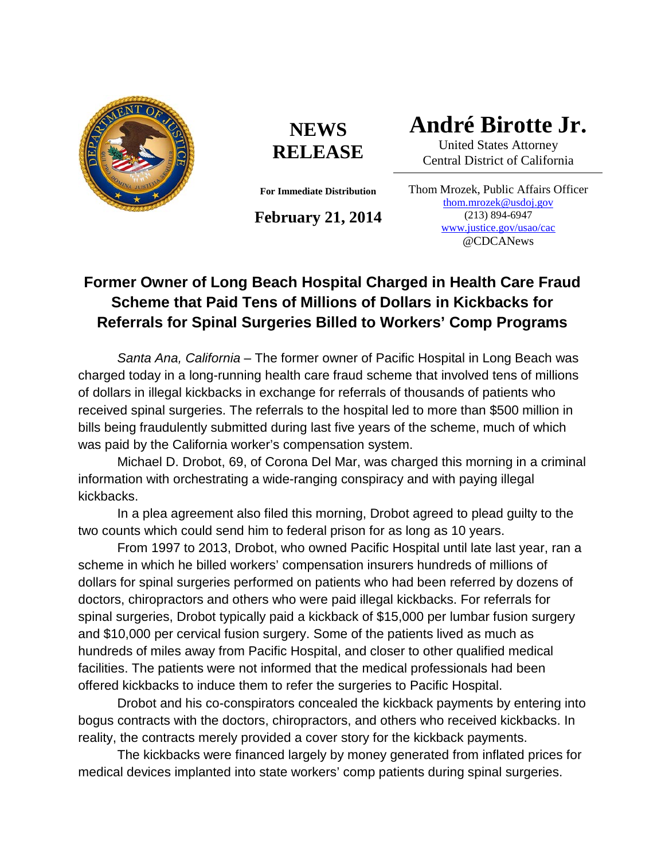

## **NEWS RELEASE**

**For Immediate Distribution**

**February 21, 2014**

**André Birotte Jr.**

United States Attorney Central District of California

Thom Mrozek, Public Affairs Officer [thom.mrozek@usdoj.gov](mailto:thom.mrozek@usdoj.gov) (213) 894-6947 [www.justice.gov/usao/cac](http://www.justice.gov/usao/cac) @CDCANews

## **Former Owner of Long Beach Hospital Charged in Health Care Fraud Scheme that Paid Tens of Millions of Dollars in Kickbacks for Referrals for Spinal Surgeries Billed to Workers' Comp Programs**

*Santa Ana, California* – The former owner of Pacific Hospital in Long Beach was charged today in a long-running health care fraud scheme that involved tens of millions of dollars in illegal kickbacks in exchange for referrals of thousands of patients who received spinal surgeries. The referrals to the hospital led to more than \$500 million in bills being fraudulently submitted during last five years of the scheme, much of which was paid by the California worker's compensation system.

Michael D. Drobot, 69, of Corona Del Mar, was charged this morning in a criminal information with orchestrating a wide-ranging conspiracy and with paying illegal kickbacks.

In a plea agreement also filed this morning, Drobot agreed to plead guilty to the two counts which could send him to federal prison for as long as 10 years.

From 1997 to 2013, Drobot, who owned Pacific Hospital until late last year, ran a scheme in which he billed workers' compensation insurers hundreds of millions of dollars for spinal surgeries performed on patients who had been referred by dozens of doctors, chiropractors and others who were paid illegal kickbacks. For referrals for spinal surgeries, Drobot typically paid a kickback of \$15,000 per lumbar fusion surgery and \$10,000 per cervical fusion surgery. Some of the patients lived as much as hundreds of miles away from Pacific Hospital, and closer to other qualified medical facilities. The patients were not informed that the medical professionals had been offered kickbacks to induce them to refer the surgeries to Pacific Hospital.

Drobot and his co-conspirators concealed the kickback payments by entering into bogus contracts with the doctors, chiropractors, and others who received kickbacks. In reality, the contracts merely provided a cover story for the kickback payments.

The kickbacks were financed largely by money generated from inflated prices for medical devices implanted into state workers' comp patients during spinal surgeries.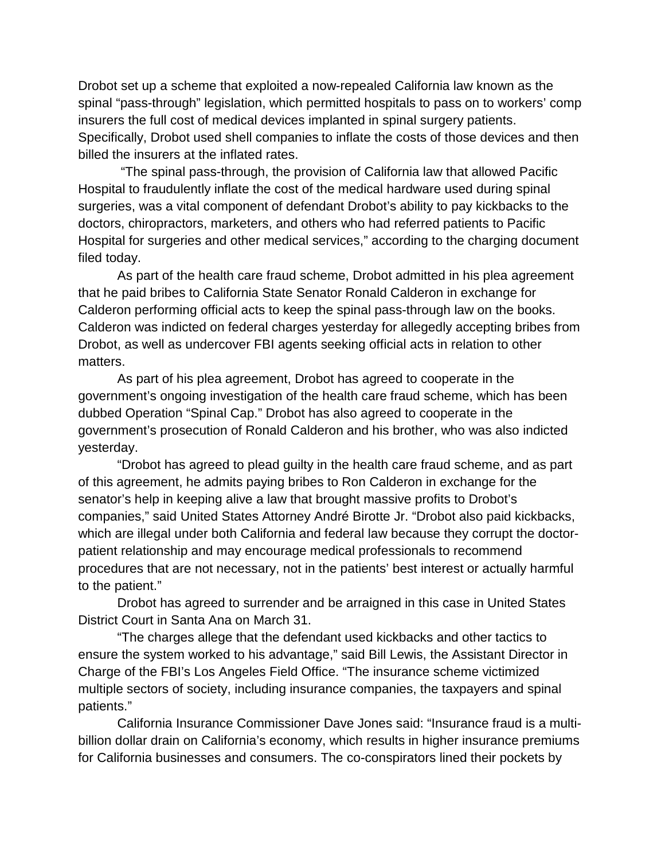Drobot set up a scheme that exploited a now-repealed California law known as the spinal "pass-through" legislation, which permitted hospitals to pass on to workers' comp insurers the full cost of medical devices implanted in spinal surgery patients. Specifically, Drobot used shell companies to inflate the costs of those devices and then billed the insurers at the inflated rates.

"The spinal pass-through, the provision of California law that allowed Pacific Hospital to fraudulently inflate the cost of the medical hardware used during spinal surgeries, was a vital component of defendant Drobot's ability to pay kickbacks to the doctors, chiropractors, marketers, and others who had referred patients to Pacific Hospital for surgeries and other medical services," according to the charging document filed today.

As part of the health care fraud scheme, Drobot admitted in his plea agreement that he paid bribes to California State Senator Ronald Calderon in exchange for Calderon performing official acts to keep the spinal pass-through law on the books. Calderon was indicted on federal charges yesterday for allegedly accepting bribes from Drobot, as well as undercover FBI agents seeking official acts in relation to other matters.

As part of his plea agreement, Drobot has agreed to cooperate in the government's ongoing investigation of the health care fraud scheme, which has been dubbed Operation "Spinal Cap." Drobot has also agreed to cooperate in the government's prosecution of Ronald Calderon and his brother, who was also indicted yesterday.

"Drobot has agreed to plead guilty in the health care fraud scheme, and as part of this agreement, he admits paying bribes to Ron Calderon in exchange for the senator's help in keeping alive a law that brought massive profits to Drobot's companies," said United States Attorney André Birotte Jr. "Drobot also paid kickbacks, which are illegal under both California and federal law because they corrupt the doctorpatient relationship and may encourage medical professionals to recommend procedures that are not necessary, not in the patients' best interest or actually harmful to the patient."

Drobot has agreed to surrender and be arraigned in this case in United States District Court in Santa Ana on March 31.

"The charges allege that the defendant used kickbacks and other tactics to ensure the system worked to his advantage," said Bill Lewis, the Assistant Director in Charge of the FBI's Los Angeles Field Office. "The insurance scheme victimized multiple sectors of society, including insurance companies, the taxpayers and spinal patients."

California Insurance Commissioner Dave Jones said: "Insurance fraud is a multibillion dollar drain on California's economy, which results in higher insurance premiums for California businesses and consumers. The co-conspirators lined their pockets by